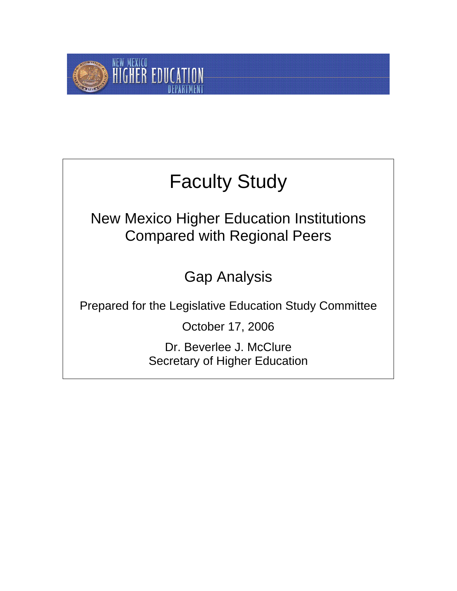

# Faculty Study

New Mexico Higher Education Institutions Compared with Regional Peers

Gap Analysis

Prepared for the Legislative Education Study Committee

October 17, 2006

Dr. Beverlee J. McClure Secretary of Higher Education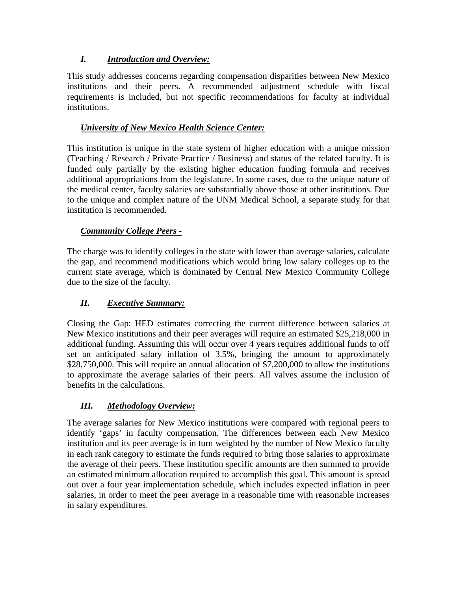#### *I. Introduction and Overview:*

This study addresses concerns regarding compensation disparities between New Mexico institutions and their peers. A recommended adjustment schedule with fiscal requirements is included, but not specific recommendations for faculty at individual institutions.

#### *University of New Mexico Health Science Center:*

This institution is unique in the state system of higher education with a unique mission (Teaching / Research / Private Practice / Business) and status of the related faculty. It is funded only partially by the existing higher education funding formula and receives additional appropriations from the legislature. In some cases, due to the unique nature of the medical center, faculty salaries are substantially above those at other institutions. Due to the unique and complex nature of the UNM Medical School, a separate study for that institution is recommended.

#### *Community College Peers -*

The charge was to identify colleges in the state with lower than average salaries, calculate the gap, and recommend modifications which would bring low salary colleges up to the current state average, which is dominated by Central New Mexico Community College due to the size of the faculty.

#### *II. Executive Summary:*

Closing the Gap: HED estimates correcting the current difference between salaries at New Mexico institutions and their peer averages will require an estimated \$25,218,000 in additional funding. Assuming this will occur over 4 years requires additional funds to off set an anticipated salary inflation of 3.5%, bringing the amount to approximately \$28,750,000. This will require an annual allocation of \$7,200,000 to allow the institutions to approximate the average salaries of their peers. All valves assume the inclusion of benefits in the calculations.

#### *III. Methodology Overview:*

The average salaries for New Mexico institutions were compared with regional peers to identify 'gaps' in faculty compensation. The differences between each New Mexico institution and its peer average is in turn weighted by the number of New Mexico faculty in each rank category to estimate the funds required to bring those salaries to approximate the average of their peers. These institution specific amounts are then summed to provide an estimated minimum allocation required to accomplish this goal. This amount is spread out over a four year implementation schedule, which includes expected inflation in peer salaries, in order to meet the peer average in a reasonable time with reasonable increases in salary expenditures.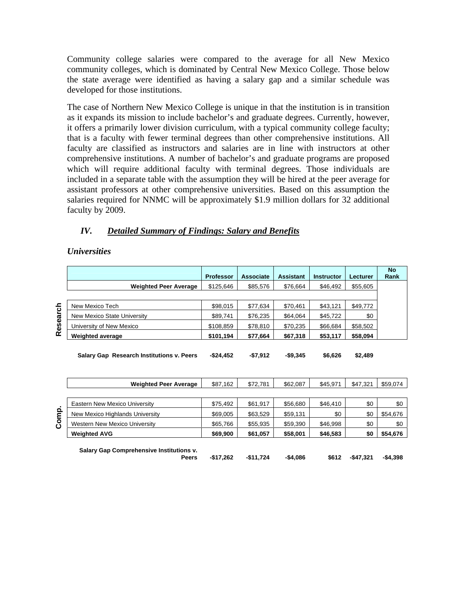Community college salaries were compared to the average for all New Mexico community colleges, which is dominated by Central New Mexico College. Those below the state average were identified as having a salary gap and a similar schedule was developed for those institutions.

The case of Northern New Mexico College is unique in that the institution is in transition as it expands its mission to include bachelor's and graduate degrees. Currently, however, it offers a primarily lower division curriculum, with a typical community college faculty; that is a faculty with fewer terminal degrees than other comprehensive institutions. All faculty are classified as instructors and salaries are in line with instructors at other comprehensive institutions. A number of bachelor's and graduate programs are proposed which will require additional faculty with terminal degrees. Those individuals are included in a separate table with the assumption they will be hired at the peer average for assistant professors at other comprehensive universities. Based on this assumption the salaries required for NNMC will be approximately \$1.9 million dollars for 32 additional faculty by 2009.

#### *IV. Detailed Summary of Findings: Salary and Benefits*

#### *Universities*

|          |                              | <b>Professor</b> | <b>Associate</b> | <b>Assistant</b> | <b>Instructor</b> | Lecturer | <b>No</b><br>Rank |
|----------|------------------------------|------------------|------------------|------------------|-------------------|----------|-------------------|
|          | <b>Weighted Peer Average</b> | \$125,646        | \$85,576         | \$76,664         | \$46,492          | \$55,605 |                   |
|          |                              |                  |                  |                  |                   |          |                   |
|          | New Mexico Tech              | \$98,015         | \$77,634         | \$70,461         | \$43,121          | \$49,772 |                   |
| Research | New Mexico State University  | \$89,741         | \$76,235         | \$64,064         | \$45,722          | \$0      |                   |
|          | University of New Mexico     | \$108,859        | \$78,810         | \$70,235         | \$66,684          | \$58,502 |                   |
|          | <b>Weighted average</b>      | \$101,194        | \$77,664         | \$67,318         | \$53,117          | \$58,094 |                   |
|          |                              |                  |                  |                  |                   |          |                   |

**Salary Gap Research Institutions v. Peers -\$24,452 -\$7,912 -\$9,345 \$6,626 \$2,489** 

|       | <b>Weighted Peer Average</b>                             | \$87,162   | \$72,781   | \$62,087  | \$45,971 | \$47,321   | \$59,074  |
|-------|----------------------------------------------------------|------------|------------|-----------|----------|------------|-----------|
|       |                                                          |            |            |           |          |            |           |
|       | Eastern New Mexico University                            | \$75,492   | \$61,917   | \$56,680  | \$46,410 | \$0        | \$0       |
| Comp. | New Mexico Highlands University                          | \$69,005   | \$63,529   | \$59,131  | \$0      | \$0        | \$54,676  |
|       | <b>Western New Mexico University</b>                     | \$65,766   | \$55,935   | \$59,390  | \$46,998 | \$0        | \$0       |
|       | <b>Weighted AVG</b>                                      | \$69,900   | \$61,057   | \$58,001  | \$46,583 | \$0        | \$54,676  |
|       | Salary Gap Comprehensive Institutions v.<br><b>Peers</b> | $-$17,262$ | $-$11,724$ | $-$4,086$ | \$612    | $-$47.321$ | $-$4,398$ |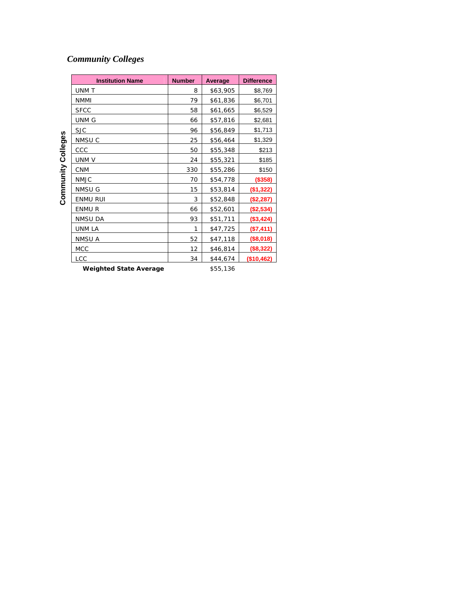### *Community Colleges*

| <b>Institution Name</b>        | <b>Number</b> | Average   | <b>Difference</b> |
|--------------------------------|---------------|-----------|-------------------|
| UNM T                          | 8             | \$63,905  | \$8,769           |
| <b>NMMI</b>                    | 79            | \$61,836  | \$6,701           |
| <b>SFCC</b>                    | 58            | \$61,665  | \$6,529           |
| UNM G                          | 66            | \$57,816  | \$2,681           |
| <b>SJC</b>                     | 96            | \$56,849  | \$1,713           |
| NMSU C                         | 25            | \$56,464  | \$1,329           |
| CCC                            | 50            | \$55,348  | \$213             |
| UNM <sub>V</sub>               | 24            | \$55,321  | \$185             |
| <b>CNM</b>                     | 330           | \$55,286  | \$150             |
| <b>NMJC</b>                    | 70            | \$54,778  | (\$358)           |
| NMSU G                         | 15            | \$53,814  | (\$1,322)         |
| <b>ENMU RUI</b>                | 3             | \$52,848  | (\$2,287)         |
| ENMU R                         | 66            | \$52,601  | (\$2,534)         |
| NMSU DA                        | 93            | \$51,711  | (\$3,424)         |
| UNM LA                         | 1             | \$47,725  | (\$7,411)         |
| NMSU A                         | 52            | \$47,118  | (\$8,018)         |
| MCC                            | 12            | \$46,814  | (\$8,322)         |
| LCC                            | 34            | \$44,674  | (\$10,462)        |
| <i>Mainbrand</i> Ctata Avanaga |               | 6 E E 194 |                   |

**Community Colleges Community Colleges** 

**Weighted State Average** \$55,136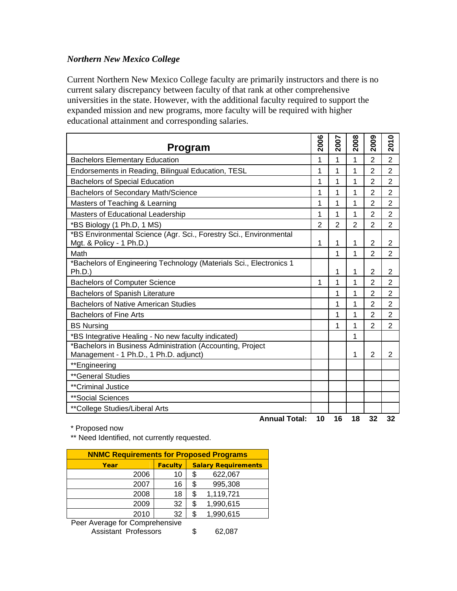#### *Northern New Mexico College*

Current Northern New Mexico College faculty are primarily instructors and there is no current salary discrepancy between faculty of that rank at other comprehensive universities in the state. However, with the additional faculty required to support the expanded mission and new programs, more faculty will be required with higher educational attainment and corresponding salaries.

| <b>Program</b>                                                                                       | 2006           | 2007           | 2008           | 2009           | 2010           |
|------------------------------------------------------------------------------------------------------|----------------|----------------|----------------|----------------|----------------|
| <b>Bachelors Elementary Education</b>                                                                | 1              | 1              | 1              | $\overline{2}$ | $\overline{2}$ |
| Endorsements in Reading, Bilingual Education, TESL                                                   | 1              | 1              | 1              | $\overline{2}$ | $\overline{2}$ |
| <b>Bachelors of Special Education</b>                                                                | 1              | 1              | 1              | $\overline{2}$ | $\overline{2}$ |
| <b>Bachelors of Secondary Math/Science</b>                                                           | 1              | 1              | 1              | $\overline{2}$ | $\overline{2}$ |
| Masters of Teaching & Learning                                                                       | 1              | 1              | 1              | 2              | $\overline{2}$ |
| Masters of Educational Leadership                                                                    | 1              | 1              | 1              | $\overline{2}$ | $\overline{2}$ |
| *BS Biology (1 Ph.D, 1 MS)                                                                           | $\mathfrak{p}$ | $\overline{2}$ | $\mathfrak{p}$ | $\overline{2}$ | $\overline{2}$ |
| *BS Environmental Science (Agr. Sci., Forestry Sci., Environmental<br>Mgt. & Policy - 1 Ph.D.)       | 1              | 1              | 1              | $\overline{2}$ | $\overline{2}$ |
| Math                                                                                                 |                | 1              | 1              | $\overline{2}$ | 2              |
| *Bachelors of Engineering Technology (Materials Sci., Electronics 1<br>Ph.D.)                        |                | 1              | 1              | $\overline{2}$ | $\overline{2}$ |
| <b>Bachelors of Computer Science</b>                                                                 | 1              | 1              | 1              | 2              | $\overline{2}$ |
| <b>Bachelors of Spanish Literature</b>                                                               |                | 1              | 1              | $\overline{2}$ | $\overline{2}$ |
| <b>Bachelors of Native American Studies</b>                                                          |                | 1              | 1              | 2              | $\overline{2}$ |
| <b>Bachelors of Fine Arts</b>                                                                        |                | 1              | 1              | $\overline{2}$ | $\overline{2}$ |
| <b>BS Nursing</b>                                                                                    |                | 1              | 1              | $\overline{2}$ | $\overline{2}$ |
| *BS Integrative Healing - No new faculty indicated)                                                  |                |                | 1              |                |                |
| *Bachelors in Business Administration (Accounting, Project<br>Management - 1 Ph.D., 1 Ph.D. adjunct) |                |                | 1              | $\overline{2}$ | 2              |
| **Engineering                                                                                        |                |                |                |                |                |
| **General Studies                                                                                    |                |                |                |                |                |
| **Criminal Justice                                                                                   |                |                |                |                |                |
| **Social Sciences                                                                                    |                |                |                |                |                |
| ** College Studies/Liberal Arts                                                                      |                |                |                |                |                |
| <b>Annual Total:</b>                                                                                 | 10             | 16             | 18             | 32             | 32             |

\* Proposed now

\*\* Need Identified, not currently requested.

| <b>NNMC Requirements for Proposed Programs</b> |                |                            |           |  |  |  |  |  |
|------------------------------------------------|----------------|----------------------------|-----------|--|--|--|--|--|
| Year                                           | <b>Faculty</b> | <b>Salary Requirements</b> |           |  |  |  |  |  |
| 2006                                           | 10             | S.                         | 622,067   |  |  |  |  |  |
| 2007                                           | 16             |                            | 995,308   |  |  |  |  |  |
| 2008                                           | 18             |                            | 1,119,721 |  |  |  |  |  |
| 2009                                           | 32             |                            | 1,990,615 |  |  |  |  |  |
| 2010                                           | 32             |                            | 1,990,615 |  |  |  |  |  |

Peer Average for Comprehensive

Assistant Professors \$ 62,087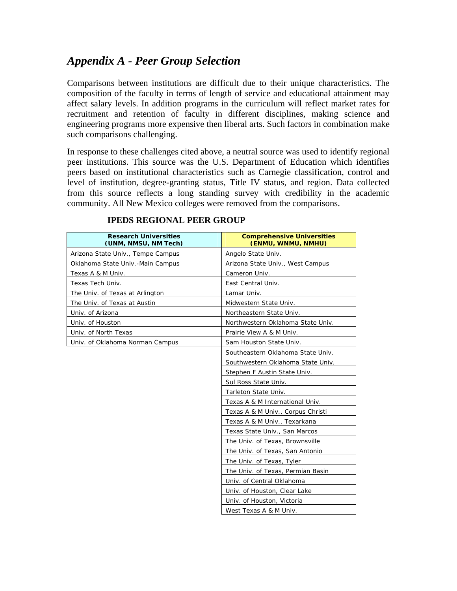# *Appendix A - Peer Group Selection*

Comparisons between institutions are difficult due to their unique characteristics. The composition of the faculty in terms of length of service and educational attainment may affect salary levels. In addition programs in the curriculum will reflect market rates for recruitment and retention of faculty in different disciplines, making science and engineering programs more expensive then liberal arts. Such factors in combination make such comparisons challenging.

In response to these challenges cited above, a neutral source was used to identify regional peer institutions. This source was the U.S. Department of Education which identifies peers based on institutional characteristics such as Carnegie classification, control and level of institution, degree-granting status, Title IV status, and region. Data collected from this source reflects a long standing survey with credibility in the academic community. All New Mexico colleges were removed from the comparisons.

| <b>Research Universities</b><br>(UNM, NMSU, NM Tech) | <b>Comprehensive Universities</b><br>(ENMU, WNMU, NMHU) |
|------------------------------------------------------|---------------------------------------------------------|
| Arizona State Univ., Tempe Campus                    | Angelo State Univ.                                      |
| Oklahoma State Univ.-Main Campus                     | Arizona State Univ., West Campus                        |
| Texas A & M Univ.                                    | Cameron Univ.                                           |
| Texas Tech Univ.                                     | East Central Univ.                                      |
| The Univ. of Texas at Arlington                      | Lamar Univ.                                             |
| The Univ. of Texas at Austin                         | Midwestern State Univ.                                  |
| Univ. of Arizona                                     | Northeastern State Univ.                                |
| Univ. of Houston                                     | Northwestern Oklahoma State Univ.                       |
| Univ. of North Texas                                 | Prairie View A & M Univ.                                |
| Univ. of Oklahoma Norman Campus                      | Sam Houston State Univ.                                 |
|                                                      | Southeastern Oklahoma State Univ.                       |
|                                                      | Southwestern Oklahoma State Univ.                       |
|                                                      | Stephen F Austin State Univ.                            |
|                                                      | Sul Ross State Univ.                                    |
|                                                      | Tarleton State Univ.                                    |
|                                                      | Texas A & M International Univ.                         |
|                                                      | Texas A & M Univ., Corpus Christi                       |
|                                                      | Texas A & M Univ., Texarkana                            |
|                                                      | Texas State Univ., San Marcos                           |
|                                                      | The Univ. of Texas, Brownsville                         |
|                                                      | The Univ. of Texas, San Antonio                         |
|                                                      | The Univ. of Texas, Tyler                               |
|                                                      | The Univ. of Texas, Permian Basin                       |
|                                                      | Univ. of Central Oklahoma                               |
|                                                      | Univ. of Houston, Clear Lake                            |
|                                                      | Univ. of Houston, Victoria                              |
|                                                      | West Texas A & M Univ.                                  |

#### **IPEDS REGIONAL PEER GROUP**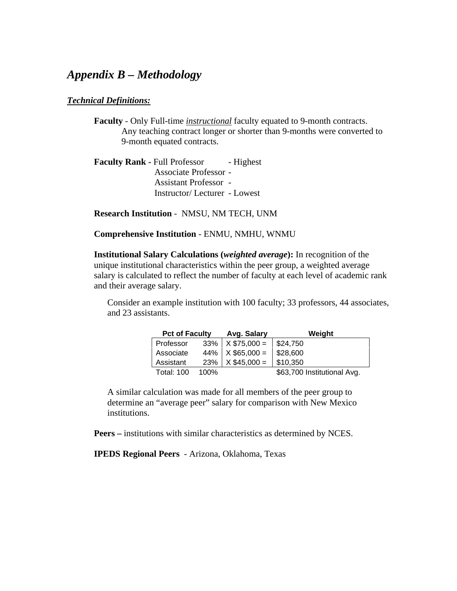## *Appendix B – Methodology*

#### *Technical Definitions:*

**Faculty** - Only Full-time *instructional* faculty equated to 9-month contracts. Any teaching contract longer or shorter than 9-months were converted to 9-month equated contracts.

**Faculty Rank - Full Professor - Highest** Associate Professor - Assistant Professor - Instructor/ Lecturer - Lowest

**Research Institution** - NMSU, NM TECH, UNM

**Comprehensive Institution** - ENMU, NMHU, WNMU

**Institutional Salary Calculations (***weighted average***):** In recognition of the unique institutional characteristics within the peer group, a weighted average salary is calculated to reflect the number of faculty at each level of academic rank and their average salary.

Consider an example institution with 100 faculty; 33 professors, 44 associates, and 23 assistants.

| <b>Pct of Faculty</b> |      | Avg. Salary                      | Weight                      |
|-----------------------|------|----------------------------------|-----------------------------|
| Professor             |      | $33\%$ $\times$ \$75,000 =       | $\frac{1}{2}$ \$24,750      |
| Associate             |      | $44\%$   X \$65,000 =   \$28,600 |                             |
| Assistant             |      | $23\%$   X \$45,000 =            | \$10,350                    |
| <b>Total: 100</b>     | 100% |                                  | \$63,700 Institutional Avg. |

A similar calculation was made for all members of the peer group to determine an "average peer" salary for comparison with New Mexico institutions.

**Peers –** institutions with similar characteristics as determined by NCES.

**IPEDS Regional Peers** - Arizona, Oklahoma, Texas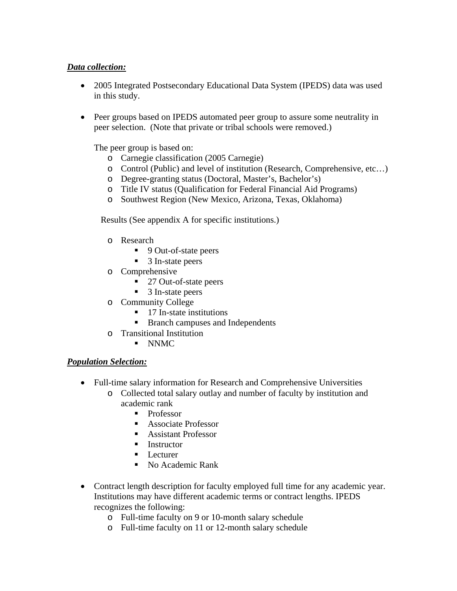#### *Data collection:*

- 2005 Integrated Postsecondary Educational Data System (IPEDS) data was used in this study.
- Peer groups based on IPEDS automated peer group to assure some neutrality in peer selection. (Note that private or tribal schools were removed.)

The peer group is based on:

- o Carnegie classification (2005 Carnegie)
- o Control (Public) and level of institution (Research, Comprehensive, etc…)
- o Degree-granting status (Doctoral, Master's, Bachelor's)
- o Title IV status (Qualification for Federal Financial Aid Programs)
- o Southwest Region (New Mexico, Arizona, Texas, Oklahoma)

Results (See appendix A for specific institutions.)

- o Research
	- 9 Out-of-state peers
	- 3 In-state peers
- o Comprehensive
	- 27 Out-of-state peers
	- 3 In-state peers
- o Community College
	- $\blacksquare$  17 In-state institutions
	- Branch campuses and Independents
- o Transitional Institution
	- NNMC

#### *Population Selection:*

- Full-time salary information for Research and Comprehensive Universities
	- o Collected total salary outlay and number of faculty by institution and academic rank
		- **Professor**
		- Associate Professor
		- Assistant Professor
		- $\blacksquare$  Instructor
		- **Lecturer**
		- No Academic Rank
- Contract length description for faculty employed full time for any academic year. Institutions may have different academic terms or contract lengths. IPEDS recognizes the following:
	- o Full-time faculty on 9 or 10-month salary schedule
	- o Full-time faculty on 11 or 12-month salary schedule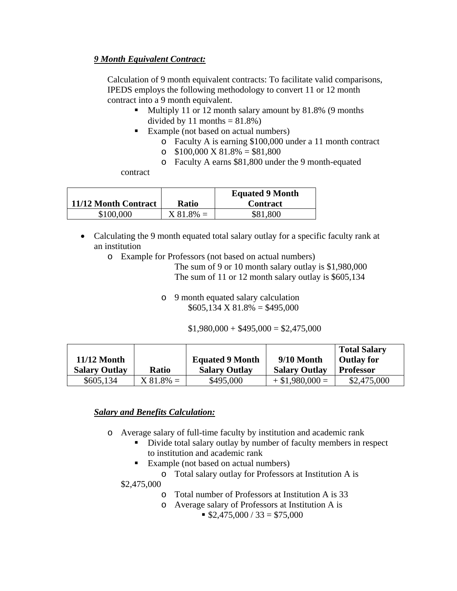#### *9 Month Equivalent Contract:*

Calculation of 9 month equivalent contracts: To facilitate valid comparisons, IPEDS employs the following methodology to convert 11 or 12 month contract into a 9 month equivalent.

- Multiply 11 or 12 month salary amount by 81.8% (9 months divided by 11 months  $= 81.8\%$ )
- Example (not based on actual numbers)
	- o Faculty A is earning \$100,000 under a 11 month contract
	- o  $$100,000 \text{ X } 81.8\% = $81,800$
	- o Faculty A earns \$81,800 under the 9 month-equated

contract

| 11/12 Month Contract | <b>Ratio</b> | <b>Equated 9 Month</b><br><b>Contract</b> |
|----------------------|--------------|-------------------------------------------|
| \$100,000            | $X 81.8\% =$ | \$81,800                                  |

- Calculating the 9 month equated total salary outlay for a specific faculty rank at an institution
	- o Example for Professors (not based on actual numbers)

The sum of 9 or 10 month salary outlay is \$1,980,000 The sum of 11 or 12 month salary outlay is \$605,134

o 9 month equated salary calculation  $$605,134 \text{ X } 81.8\% = $495,000$ 

 $$1,980,000 + $495,000 = $2,475,000$ 

| $11/12$ Month<br><b>Salary Outlay</b> | <b>Ratio</b> | <b>Equated 9 Month</b><br><b>Salary Outlay</b> | 9/10 Month<br><b>Salary Outlay</b> | <b>Total Salary</b><br><b>Outlay for</b><br><b>Professor</b> |
|---------------------------------------|--------------|------------------------------------------------|------------------------------------|--------------------------------------------------------------|
| \$605,134                             | $X81.8\% =$  | \$495,000                                      | $+$ \$1,980,000 =                  | \$2,475,000                                                  |

#### *Salary and Benefits Calculation:*

- o Average salary of full-time faculty by institution and academic rank
	- Divide total salary outlay by number of faculty members in respect to institution and academic rank
	- Example (not based on actual numbers)
		- o Total salary outlay for Professors at Institution A is

\$2,475,000

- o Total number of Professors at Institution A is 33
- o Average salary of Professors at Institution A is
	- $\$2,475,000 / 33 = $75,000$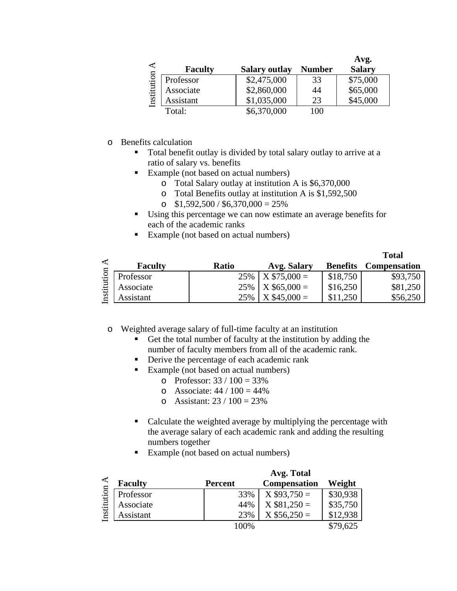| ⋖           |                |                      |               | Avg.          |
|-------------|----------------|----------------------|---------------|---------------|
|             | <b>Faculty</b> | <b>Salary outlay</b> | <b>Number</b> | <b>Salary</b> |
| Institution | Professor      | \$2,475,000          | 33            | \$75,000      |
|             | Associate      | \$2,860,000          | 44            | \$65,000      |
|             | Assistant      | \$1,035,000          | 23            | \$45,000      |
|             | Total:         | \$6,370,000          | 100           |               |

- o Benefits calculation
	- Total benefit outlay is divided by total salary outlay to arrive at a ratio of salary vs. benefits
	- Example (not based on actual numbers)
		- o Total Salary outlay at institution A is \$6,370,000
		- o Total Benefits outlay at institution A is \$1,592,500
		- o  $$1,592,500 / $6,370,000 = 25\%$
	- Using this percentage we can now estimate an average benefits for each of the academic ranks
	- Example (not based on actual numbers)

|      |                |              |                       |                 | <b>Total</b>        |
|------|----------------|--------------|-----------------------|-----------------|---------------------|
| ◀    | <b>Faculty</b> | <b>Ratio</b> | Avg. Salary           | <b>Benefits</b> | <b>Compensation</b> |
| tion | Professor      |              | $25\%$   X \$75,000 = | \$18,750        | \$93,750            |
|      | Associate      |              | $25\%$   X \$65,000 = | \$16,250        | \$81,250            |
| m    | Assistant      | 25%          | $X$ \$45,000 =        | \$11,250        | \$56,250            |

o Weighted average salary of full-time faculty at an institution

- Get the total number of faculty at the institution by adding the number of faculty members from all of the academic rank.
- Derive the percentage of each academic rank
- Example (not based on actual numbers)
	- o Professor:  $33 / 100 = 33\%$
	- $\circ$  Associate: 44 / 100 = 44%
	- $\circ$  Assistant: 23 / 100 = 23%
- Calculate the weighted average by multiplying the percentage with the average salary of each academic rank and adding the resulting numbers together
- Example (not based on actual numbers)

|              |                | Avg. Total     |                     |          |  |
|--------------|----------------|----------------|---------------------|----------|--|
|              | <b>Faculty</b> | <b>Percent</b> | <b>Compensation</b> | Weight   |  |
| tion<br>nsti | Professor      | 33%            | $X $93,750 =$       | \$30,938 |  |
|              | Associate      | 44%            | $X$ \$81,250 =      | \$35,750 |  |
|              | Assistant      | 23%            | $X$ \$56,250 =      | \$12,938 |  |
|              |                | 100%           |                     | \$79,625 |  |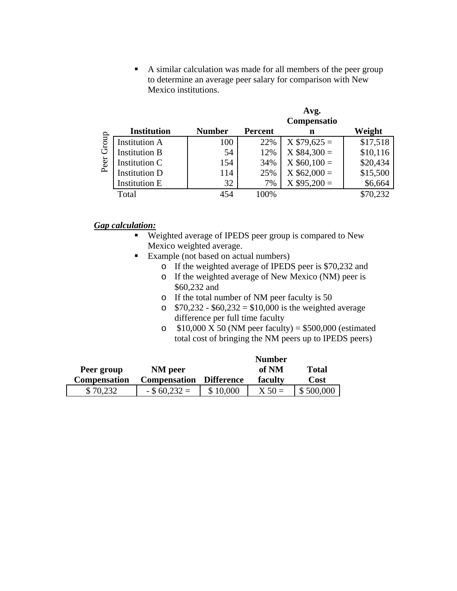A similar calculation was made for all members of the peer group to determine an average peer salary for comparison with New Mexico institutions.

 $A \times \alpha$ 

|                      | <b>AVE.</b><br>Compensatio |                |                |          |  |
|----------------------|----------------------------|----------------|----------------|----------|--|
| <b>Institution</b>   | <b>Number</b>              | <b>Percent</b> | n              | Weight   |  |
| <b>Institution A</b> | 100                        | 22%            | $X $79,625 =$  | \$17,518 |  |
| <b>Institution B</b> | 54                         | 12%            | $X $84,300 =$  | \$10,116 |  |
| Institution C        | 154                        | 34%            | $X$ \$60,100 = | \$20,434 |  |
| <b>Institution D</b> | 114                        | 25%            | $X$ \$62,000 = | \$15,500 |  |
| <b>Institution E</b> | 32                         | 7%             | $X $95,200 =$  | \$6,664  |  |
| Total                | 454                        | 100%           |                | \$70,232 |  |
|                      |                            |                |                |          |  |

#### *Gap calculation:*

- **Weighted average of IPEDS peer group is compared to New** Mexico weighted average.
- Example (not based on actual numbers)
	- o If the weighted average of IPEDS peer is \$70,232 and
	- o If the weighted average of New Mexico (NM) peer is \$60,232 and
	- o If the total number of NM peer faculty is 50
	- $\degree$  \$70,232 \$60,232 = \$10,000 is the weighted average difference per full time faculty
	- o  $$10,000$  X 50 (NM peer faculty) = \$500,000 (estimated total cost of bringing the NM peers up to IPEDS peers)

|                     |                     | <b>Number</b>     |          |              |
|---------------------|---------------------|-------------------|----------|--------------|
| Peer group          | NM peer             |                   | of NM    | <b>Total</b> |
| <b>Compensation</b> | <b>Compensation</b> | <b>Difference</b> | faculty  | Cost         |
| \$70,232            | $-$ \$ 60,232 =     | \$10,000          | $X 50 =$ | \$500,000    |